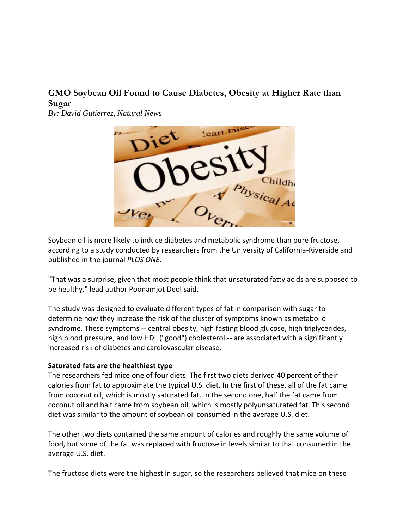## **GMO Soybean Oil Found to Cause Diabetes, Obesity at Higher Rate than Sugar**

*By: David Gutierrez, Natural News*



Soybean oil is more likely to induce diabetes and metabolic syndrome than pure fructose, according to a study conducted by researchers from the University of California-Riverside and published in the journal *PLOS ONE*.

"That was a surprise, given that most people think that unsaturated fatty acids are supposed to be healthy," lead author Poonamjot Deol said.

The study was designed to evaluate different types of fat in comparison with sugar to determine how they increase the risk of the cluster of symptoms known as metabolic syndrome. These symptoms -- central obesity, high fasting blood glucose, high triglycerides, high blood pressure, and low HDL ("good") cholesterol -- are associated with a significantly increased risk of diabetes and cardiovascular disease.

## **Saturated fats are the healthiest type**

The researchers fed mice one of four diets. The first two diets derived 40 percent of their calories from fat to approximate the typical U.S. diet. In the first of these, all of the fat came from coconut oil, which is mostly saturated fat. In the second one, half the fat came from coconut oil and half came from soybean oil, which is mostly polyunsaturated fat. This second diet was similar to the amount of soybean oil consumed in the average U.S. diet.

The other two diets contained the same amount of calories and roughly the same volume of food, but some of the fat was replaced with fructose in levels similar to that consumed in the average U.S. diet.

The fructose diets were the highest in [sugar,](http://www.naturalnews.com/sugar.html) so the researchers believed that mice on these